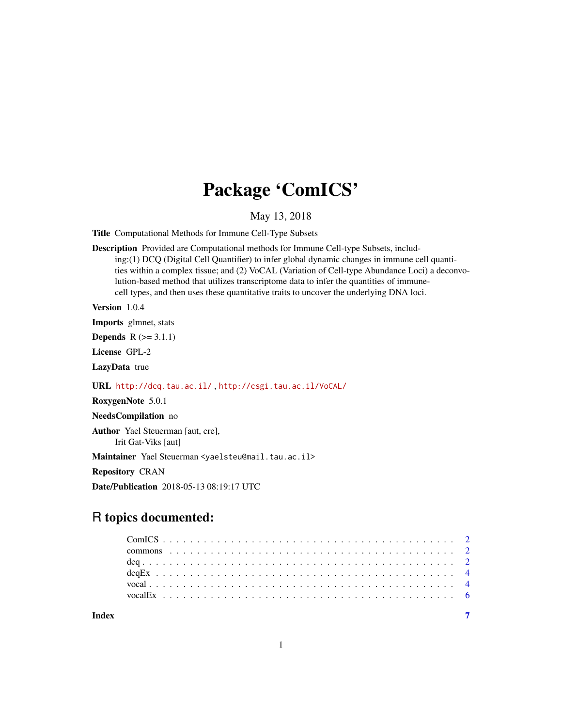# Package 'ComICS'

## May 13, 2018

Title Computational Methods for Immune Cell-Type Subsets

Description Provided are Computational methods for Immune Cell-type Subsets, including:(1) DCQ (Digital Cell Quantifier) to infer global dynamic changes in immune cell quantities within a complex tissue; and (2) VoCAL (Variation of Cell-type Abundance Loci) a deconvolution-based method that utilizes transcriptome data to infer the quantities of immunecell types, and then uses these quantitative traits to uncover the underlying DNA loci.

Version 1.0.4

Imports glmnet, stats

**Depends**  $R$  ( $> = 3.1.1$ )

License GPL-2

LazyData true

URL <http://dcq.tau.ac.il/> , <http://csgi.tau.ac.il/VoCAL/>

RoxygenNote 5.0.1

NeedsCompilation no

Author Yael Steuerman [aut, cre], Irit Gat-Viks [aut]

Maintainer Yael Steuerman <yaelsteu@mail.tau.ac.il>

Repository CRAN

Date/Publication 2018-05-13 08:19:17 UTC

# R topics documented:

| Index |  |  |  |  |  |  |  |  |  |  |  |  |  |  |  |  |  |  |  |  |  |  |
|-------|--|--|--|--|--|--|--|--|--|--|--|--|--|--|--|--|--|--|--|--|--|--|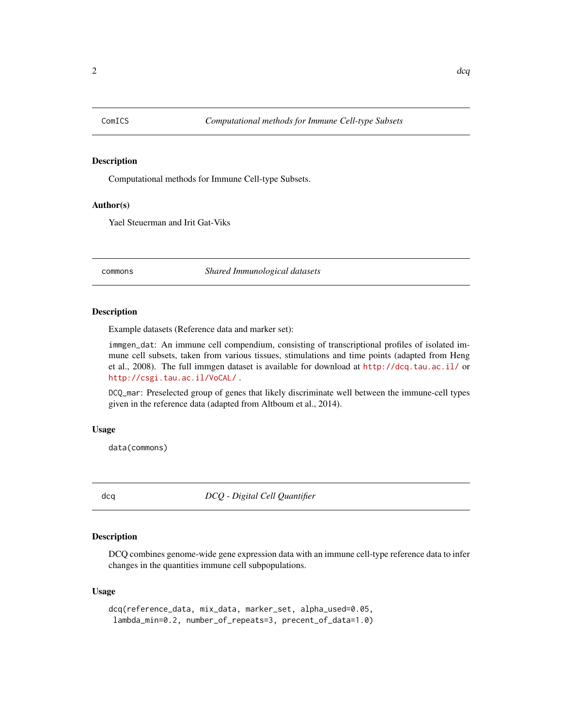<span id="page-1-0"></span>

# Description

Computational methods for Immune Cell-type Subsets.

#### Author(s)

Yael Steuerman and Irit Gat-Viks

commons *Shared Immunological datasets*

#### Description

Example datasets (Reference data and marker set):

immgen\_dat: An immune cell compendium, consisting of transcriptional profiles of isolated immune cell subsets, taken from various tissues, stimulations and time points (adapted from Heng et al., 2008). The full immgen dataset is available for download at <http://dcq.tau.ac.il/> or <http://csgi.tau.ac.il/VoCAL/> .

DCQ\_mar: Preselected group of genes that likely discriminate well between the immune-cell types given in the reference data (adapted from Altboum et al., 2014).

#### Usage

data(commons)

dcq *DCQ - Digital Cell Quantifier*

#### Description

DCQ combines genome-wide gene expression data with an immune cell-type reference data to infer changes in the quantities immune cell subpopulations.

#### Usage

```
dcq(reference_data, mix_data, marker_set, alpha_used=0.05,
lambda_min=0.2, number_of_repeats=3, precent_of_data=1.0)
```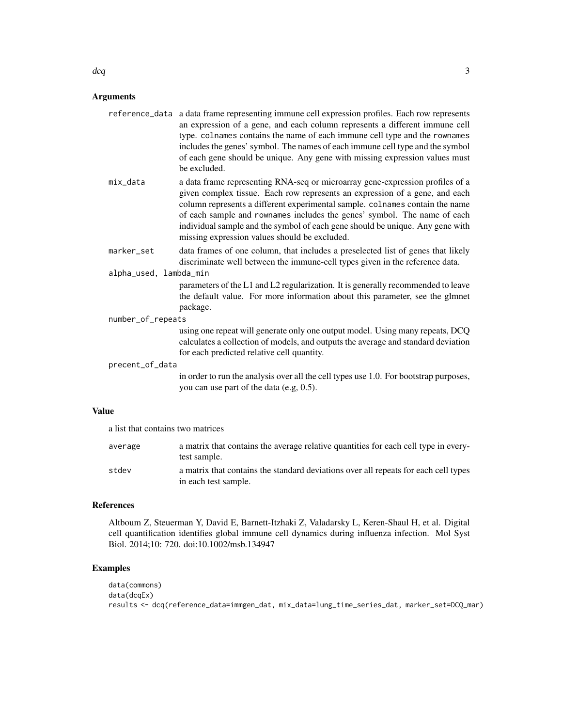#### Arguments

| reference_data a data frame representing immune cell expression profiles. Each row represents |
|-----------------------------------------------------------------------------------------------|
| an expression of a gene, and each column represents a different immune cell                   |
| type. colnames contains the name of each immune cell type and the rownames                    |
| includes the genes' symbol. The names of each immune cell type and the symbol                 |
| of each gene should be unique. Any gene with missing expression values must                   |
| be excluded.                                                                                  |
|                                                                                               |

mix\_data a data frame representing RNA-seq or microarray gene-expression profiles of a given complex tissue. Each row represents an expression of a gene, and each column represents a different experimental sample. colnames contain the name of each sample and rownames includes the genes' symbol. The name of each individual sample and the symbol of each gene should be unique. Any gene with missing expression values should be excluded.

# marker\_set data frames of one column, that includes a preselected list of genes that likely discriminate well between the immune-cell types given in the reference data.

alpha\_used, lambda\_min

parameters of the L1 and L2 regularization. It is generally recommended to leave the default value. For more information about this parameter, see the glmnet package.

number\_of\_repeats

using one repeat will generate only one output model. Using many repeats, DCQ calculates a collection of models, and outputs the average and standard deviation for each predicted relative cell quantity.

#### precent\_of\_data

in order to run the analysis over all the cell types use 1.0. For bootstrap purposes, you can use part of the data (e.g, 0.5).

#### Value

a list that contains two matrices

| average | a matrix that contains the average relative quantities for each cell type in every-<br>test sample.         |
|---------|-------------------------------------------------------------------------------------------------------------|
| stdev   | a matrix that contains the standard deviations over all repeats for each cell types<br>in each test sample. |

# References

Altboum Z, Steuerman Y, David E, Barnett-Itzhaki Z, Valadarsky L, Keren-Shaul H, et al. Digital cell quantification identifies global immune cell dynamics during influenza infection. Mol Syst Biol. 2014;10: 720. doi:10.1002/msb.134947

#### Examples

```
data(commons)
data(dcqEx)
results <- dcq(reference_data=immgen_dat, mix_data=lung_time_series_dat, marker_set=DCQ_mar)
```
 $\deg$  3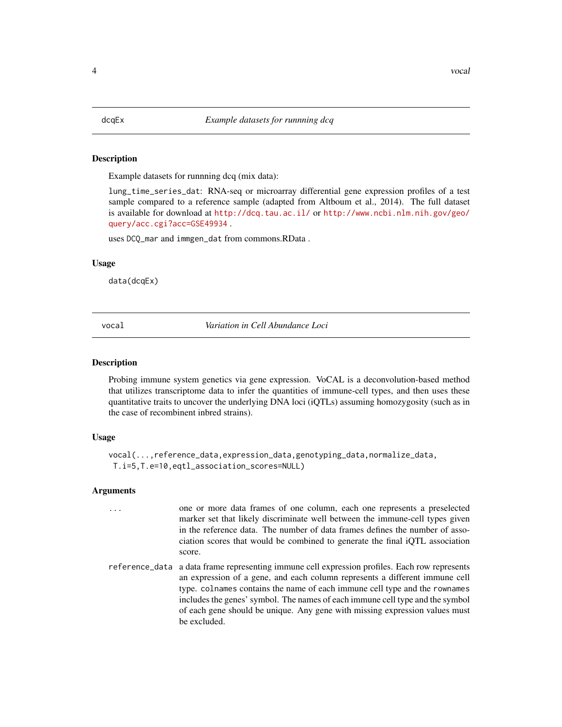<span id="page-3-0"></span>

#### Description

Example datasets for runnning dcq (mix data):

lung\_time\_series\_dat: RNA-seq or microarray differential gene expression profiles of a test sample compared to a reference sample (adapted from Altboum et al., 2014). The full dataset is available for download at <http://dcq.tau.ac.il/> or [http://www.ncbi.nlm.nih.gov/geo/](http://www.ncbi.nlm.nih.gov/geo/query/acc.cgi?acc=GSE49934) [query/acc.cgi?acc=GSE49934](http://www.ncbi.nlm.nih.gov/geo/query/acc.cgi?acc=GSE49934) .

uses DCQ\_mar and immgen\_dat from commons.RData .

#### Usage

data(dcqEx)

vocal *Variation in Cell Abundance Loci*

#### Description

Probing immune system genetics via gene expression. VoCAL is a deconvolution-based method that utilizes transcriptome data to infer the quantities of immune-cell types, and then uses these quantitative traits to uncover the underlying DNA loci (iQTLs) assuming homozygosity (such as in the case of recombinent inbred strains).

#### Usage

```
vocal(...,reference_data,expression_data,genotyping_data,normalize_data,
T.i=5,T.e=10,eqtl_association_scores=NULL)
```
#### Arguments

| $\cdot$ $\cdot$ $\cdot$ | one or more data frames of one column, each one represents a preselected     |
|-------------------------|------------------------------------------------------------------------------|
|                         | marker set that likely discriminate well between the immune-cell types given |
|                         | in the reference data. The number of data frames defines the number of asso- |
|                         | ciation scores that would be combined to generate the final iQTL association |
|                         | score.                                                                       |
|                         |                                                                              |

reference\_data a data frame representing immune cell expression profiles. Each row represents an expression of a gene, and each column represents a different immune cell type. colnames contains the name of each immune cell type and the rownames includes the genes' symbol. The names of each immune cell type and the symbol of each gene should be unique. Any gene with missing expression values must be excluded.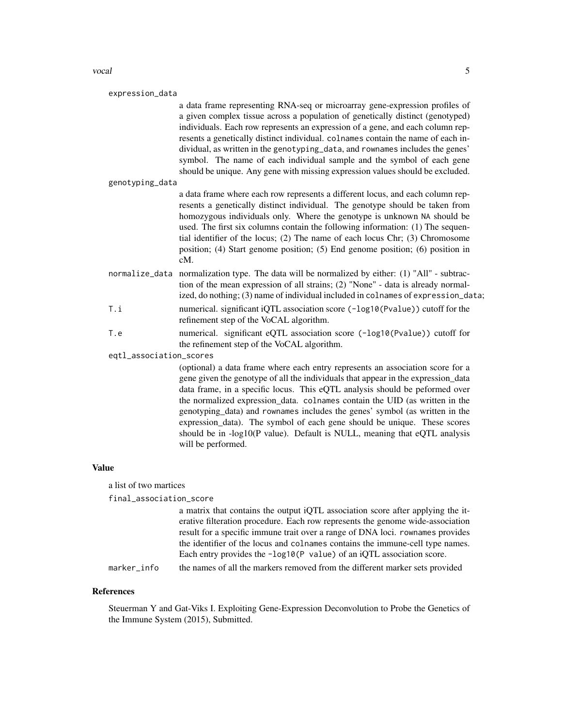#### vocal 5

| expression_data         |                                                                                                                                                                                                                                                                                                                                                                                                                                                                                                                                                                                                 |
|-------------------------|-------------------------------------------------------------------------------------------------------------------------------------------------------------------------------------------------------------------------------------------------------------------------------------------------------------------------------------------------------------------------------------------------------------------------------------------------------------------------------------------------------------------------------------------------------------------------------------------------|
|                         | a data frame representing RNA-seq or microarray gene-expression profiles of<br>a given complex tissue across a population of genetically distinct (genotyped)<br>individuals. Each row represents an expression of a gene, and each column rep-<br>resents a genetically distinct individual. colnames contain the name of each in-<br>dividual, as written in the genotyping_data, and rownames includes the genes'<br>symbol. The name of each individual sample and the symbol of each gene<br>should be unique. Any gene with missing expression values should be excluded.                 |
| genotyping_data         |                                                                                                                                                                                                                                                                                                                                                                                                                                                                                                                                                                                                 |
|                         | a data frame where each row represents a different locus, and each column rep-<br>resents a genetically distinct individual. The genotype should be taken from<br>homozygous individuals only. Where the genotype is unknown NA should be<br>used. The first six columns contain the following information: (1) The sequen-<br>tial identifier of the locus; (2) The name of each locus Chr; (3) Chromosome<br>position; (4) Start genome position; (5) End genome position; (6) position in<br>$cM$ .                                                                                          |
|                         | normalize_data normalization type. The data will be normalized by either: (1) "All" - subtrac-<br>tion of the mean expression of all strains; (2) "None" - data is already normal-<br>ized, do nothing; (3) name of individual included in colnames of expression_data;                                                                                                                                                                                                                                                                                                                         |
| T.i                     | numerical. significant iQTL association score (-log10(Pvalue)) cutoff for the<br>refinement step of the VoCAL algorithm.                                                                                                                                                                                                                                                                                                                                                                                                                                                                        |
| T.e                     | numerical. significant eQTL association score (-log10(Pvalue)) cutoff for<br>the refinement step of the VoCAL algorithm.                                                                                                                                                                                                                                                                                                                                                                                                                                                                        |
| eqtl_association_scores |                                                                                                                                                                                                                                                                                                                                                                                                                                                                                                                                                                                                 |
|                         | (optional) a data frame where each entry represents an association score for a<br>gene given the genotype of all the individuals that appear in the expression_data<br>data frame, in a specific locus. This eQTL analysis should be peformed over<br>the normalized expression_data. colnames contain the UID (as written in the<br>genotyping_data) and rownames includes the genes' symbol (as written in the<br>expression_data). The symbol of each gene should be unique. These scores<br>should be in -log10(P value). Default is NULL, meaning that eQTL analysis<br>will be performed. |
|                         |                                                                                                                                                                                                                                                                                                                                                                                                                                                                                                                                                                                                 |

#### Value

a list of two martices

final\_association\_score

a matrix that contains the output iQTL association score after applying the iterative filteration procedure. Each row represents the genome wide-association result for a specific immune trait over a range of DNA loci. rownames provides the identifier of the locus and colnames contains the immune-cell type names. Each entry provides the -log10(P value) of an iQTL association score.

marker\_info the names of all the markers removed from the different marker sets provided

# References

Steuerman Y and Gat-Viks I. Exploiting Gene-Expression Deconvolution to Probe the Genetics of the Immune System (2015), Submitted.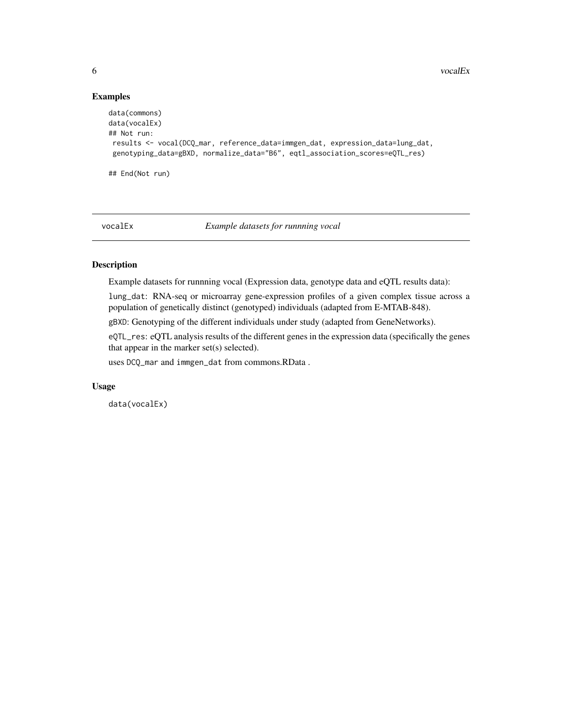6 vocalEx

## Examples

```
data(commons)
data(vocalEx)
## Not run:
results <- vocal(DCQ_mar, reference_data=immgen_dat, expression_data=lung_dat,
 genotyping_data=gBXD, normalize_data="B6", eqtl_association_scores=eQTL_res)
## End(Not run)
```
vocalEx *Example datasets for runnning vocal*

# Description

Example datasets for runnning vocal (Expression data, genotype data and eQTL results data):

lung\_dat: RNA-seq or microarray gene-expression profiles of a given complex tissue across a population of genetically distinct (genotyped) individuals (adapted from E-MTAB-848).

gBXD: Genotyping of the different individuals under study (adapted from GeneNetworks).

eQTL\_res: eQTL analysis results of the different genes in the expression data (specifically the genes that appear in the marker set(s) selected).

uses DCQ\_mar and immgen\_dat from commons.RData .

#### Usage

data(vocalEx)

<span id="page-5-0"></span>